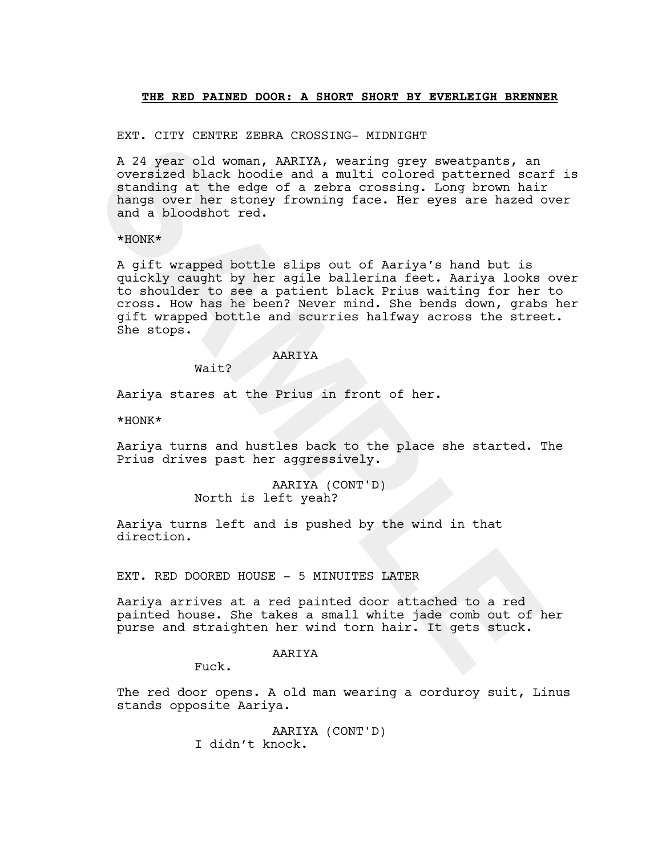#### **THE RED PAINED DOOR: A SHORT SHORT BY EVERLEIGH BRENNER**

EXT. CITY CENTRE ZEBRA CROSSING- MIDNIGHT

A 24 year old woman, AARIYA, wearing grey sweatpants, an oversized black hoodie and a multi colored patterned scarf is standing at the edge of a zebra crossing. Long brown hair hangs over her stoney frowning face. Her eyes are hazed over and a bloodshot red.

\*HONK\*

And the wind a monot weaven wind wind wind the same of a movement is a coverained black hoodie and a hullticolored ecanomic accurated and a hoodshot red.<br> **SAMPLE AND SAMPLE AND SAMPLE AND SAMPLE AND SAMPLE SAMPLE AND SAMP** A gift wrapped bottle slips out of Aariya's hand but is quickly caught by her agile ballerina feet. Aariya looks over to shoulder to see a patient black Prius waiting for her to cross. How has he been? Never mind. She bends down, grabs her gift wrapped bottle and scurries halfway across the street. She stops.

## AARIYA

Wait?

Aariya stares at the Prius in front of her.

\*HONK\*

Aariya turns and hustles back to the place she started. The Prius drives past her aggressively.

> AARIYA (CONT'D) North is left yeah?

Aariya turns left and is pushed by the wind in that direction.

EXT. RED DOORED HOUSE - 5 MINUITES LATER

Aariya arrives at a red painted door attached to a red painted house. She takes a small white jade comb out of her purse and straighten her wind torn hair. It gets stuck.

## AARIYA

Fuck.

The red door opens. A old man wearing a corduroy suit, Linus stands opposite Aariya.

> AARIYA (CONT'D) I didn't knock.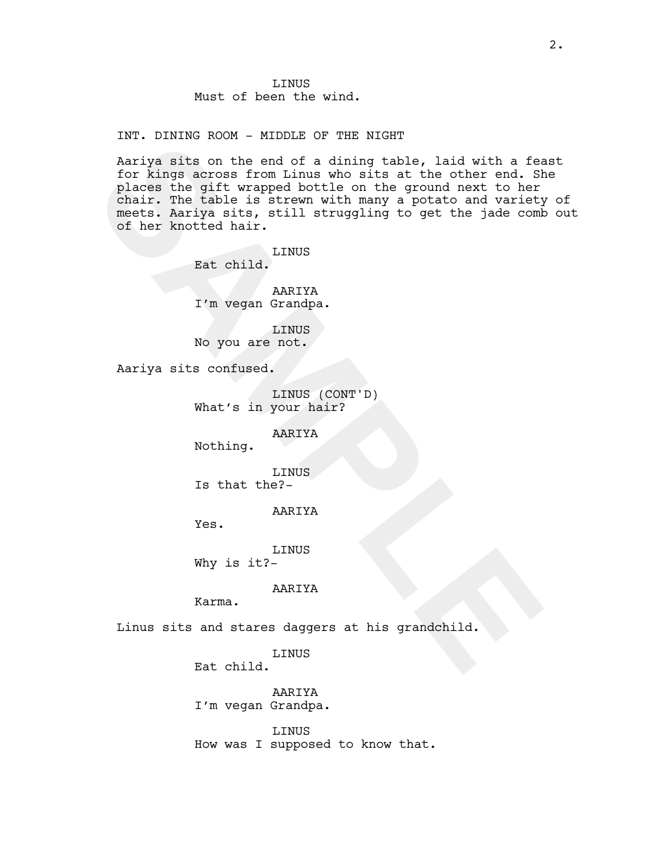INT. DINING ROOM - MIDDLE OF THE NIGHT

Any moreover the end of a dining table, laid with a feature and some and of a dining table, laid with a feature and Shart The table is atrew mith many a potato and variety come chair. The table is atrew with many a potato Aariya sits on the end of a dining table, laid with a feast for kings across from Linus who sits at the other end. She places the gift wrapped bottle on the ground next to her chair. The table is strewn with many a potato and variety of meets. Aariya sits, still struggling to get the jade comb out of her knotted hair.

**LINUS** Eat child.

AARIYA I'm vegan Grandpa.

LINUS No you are not.

Aariya sits confused.

LINUS (CONT'D) What's in your hair?

AARIYA

Nothing.

LINUS Is that the?-

AARIYA

Yes.

LINUS Why is it?-

AARIYA

Karma.

Linus sits and stares daggers at his grandchild.

LINUS

Eat child.

AARIYA I'm vegan Grandpa.

LINUS How was I supposed to know that.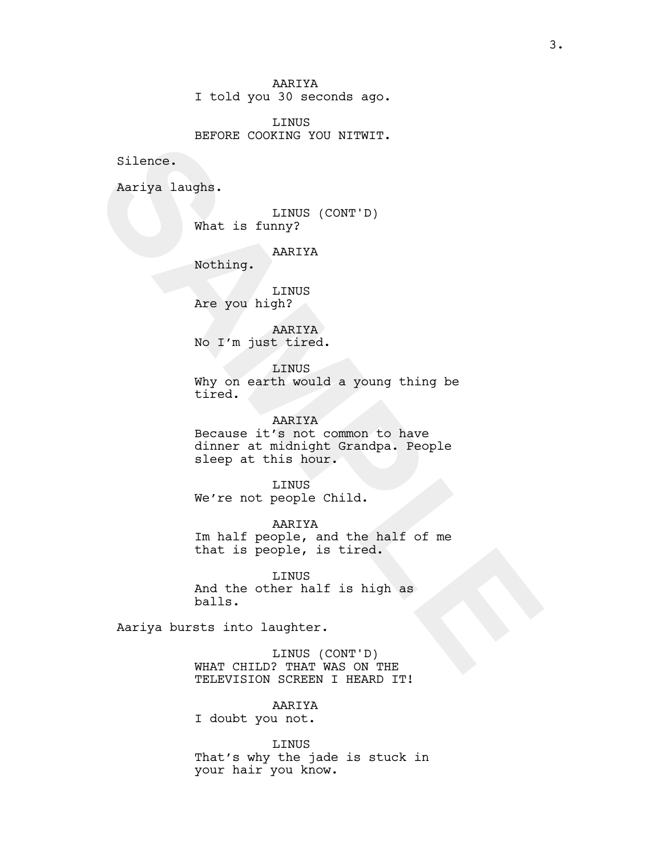AARIYA I told you 30 seconds ago.

LINUS BEFORE COOKING YOU NITWIT.

Silence.

Aariya laughs.

LINUS (CONT'D) What is funny?

AARIYA

Nothing.

LINUS Are you high?

AARIYA No I'm just tired.

LINUS Why on earth would a young thing be tired.

Silence.<br> **Silence.**<br> **Silence.**<br> **Silence.**<br> **SAMPLE AREIXA**<br> **SARPLYA**<br> **SARPLYA**<br> **SAMPLE AREIXA**<br> **SAMPLE AREIXA**<br> **No 1'm just tired.**<br> **LINUS**<br> **Why on earth would a young thing be**<br> **Why on earth would a young thing** AARIYA Because it's not common to have dinner at midnight Grandpa. People sleep at this hour.

LINUS We're not people Child.

AARIYA Im half people, and the half of me that is people, is tired.

LINUS And the other half is high as balls.

Aariya bursts into laughter.

LINUS (CONT'D) WHAT CHILD? THAT WAS ON THE TELEVISION SCREEN I HEARD IT!

AARIYA

I doubt you not.

LINUS That's why the jade is stuck in your hair you know.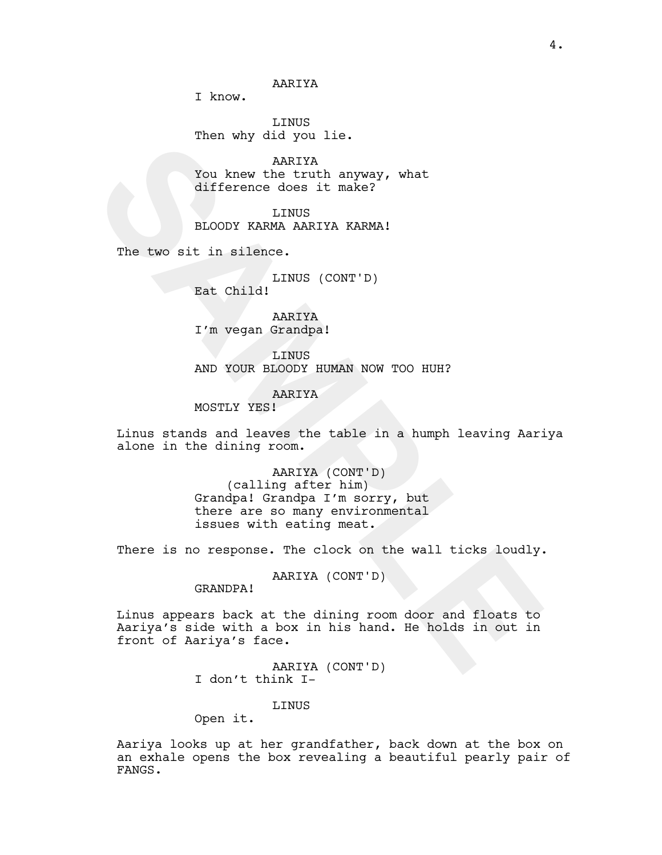I know.

LINUS Then why did you lie.

AARIYA You knew the truth anyway, what difference does it make?

LINUS BLOODY KARMA AARIYA KARMA!

The two sit in silence.

LINUS (CONT'D) Eat Child!

AARIYA I'm vegan Grandpa!

LINUS AND YOUR BLOODY HUMAN NOW TOO HUH?

AARIYA

MOSTLY YES!

Linus stands and leaves the table in a humph leaving Aariya alone in the dining room.

> AARIYA (CONT'D) (calling after him) Grandpa! Grandpa I'm sorry, but there are so many environmental issues with eating meat.

There is no response. The clock on the wall ticks loudly.

AARIYA (CONT'D)

GRANDPA!

Not we turn any owner the marker<br>
SARIYA<br>
You knew the turn anyway, what<br>
IIfference does it make?<br>
ELOODY KARMA AARIYA KARMAI<br>
The two sit in silence.<br>
Ext Child!<br>
IINUS (CONT'D)<br>
Ext Child!<br>
I'm vegan Grandpa!<br>
AND YOUR Linus appears back at the dining room door and floats to Aariya's side with a box in his hand. He holds in out in front of Aariya's face.

AARIYA (CONT'D) I don't think I-

LINUS

Open it.

Aariya looks up at her grandfather, back down at the box on an exhale opens the box revealing a beautiful pearly pair of FANGS.